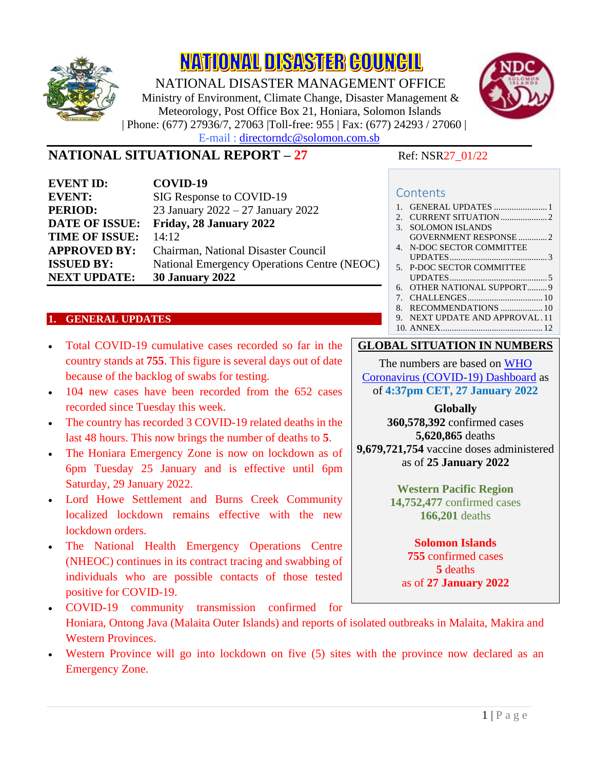

**NATIONAL DISASTER COUNCIL** 

NATIONAL DISASTER MANAGEMENT OFFICE Ministry of Environment, Climate Change, Disaster Management & Meteorology, Post Office Box 21, Honiara, Solomon Islands | Phone: (677) 27936/7, 27063 |Toll-free: 955 | Fax: (677) 24293 / 27060 | E-mail : directorndc@solomon.com.sb



# **NATIONAL SITUATIONAL REPORT – 27** Ref: NSR27\_01/22

| <b>EVENT ID:</b>      | COVID-19                                    |
|-----------------------|---------------------------------------------|
| <b>EVENT:</b>         | SIG Response to COVID-19                    |
| <b>PERIOD:</b>        | 23 January 2022 - 27 January 2022           |
| <b>DATE OF ISSUE:</b> | Friday, 28 January 2022                     |
| <b>TIME OF ISSUE:</b> | 14:12                                       |
| <b>APPROVED BY:</b>   | Chairman, National Disaster Council         |
| <b>ISSUED BY:</b>     | National Emergency Operations Centre (NEOC) |
| <b>NEXT UPDATE:</b>   | <b>30 January 2022</b>                      |

#### <span id="page-0-0"></span>**1. GENERAL UPDATES**

- Total COVID-19 cumulative cases recorded so far in the country stands at **755**. This figure is several days out of date because of the backlog of swabs for testing.
- 104 new cases have been recorded from the 652 cases recorded since Tuesday this week.
- The country has recorded 3 COVID-19 related deaths in the last 48 hours. This now brings the number of deaths to **5**.
- The Honiara Emergency Zone is now on lockdown as of 6pm Tuesday 25 January and is effective until 6pm Saturday, 29 January 2022.
- Lord Howe Settlement and Burns Creek Community localized lockdown remains effective with the new lockdown orders.
- The National Health Emergency Operations Centre (NHEOC) continues in its contract tracing and swabbing of individuals who are possible contacts of those tested positive for COVID-19.
- COVID-19 community transmission confirmed for Honiara, Ontong Java (Malaita Outer Islands) and reports of isolated outbreaks in Malaita, Makira and Western Provinces.
- Western Province will go into lockdown on five (5) sites with the province now declared as an Emergency Zone.

#### **Contents**

| $\mathbf{1}$                    |                              |
|---------------------------------|------------------------------|
| 2.                              |                              |
| 3.                              | <b>SOLOMON ISLANDS</b>       |
|                                 | GOVERNMENT RESPONSE 2        |
| $4_{\cdot}$                     | N-DOC SECTOR COMMITTEE       |
|                                 |                              |
|                                 | 5. P-DOC SECTOR COMMITTEE    |
|                                 |                              |
| б.                              | OTHER NATIONAL SUPPORT9      |
| $7_{\scriptscriptstyle{\circ}}$ |                              |
| 8.                              |                              |
| 9                               | NEXT UPDATE AND APPROVAL, 11 |
|                                 |                              |

#### **GLOBAL SITUATION IN NUMBERS**

The numbers are based on [WHO](https://covid19.who.int/)  [Coronavirus \(COVID-19\) Dashboard](https://covid19.who.int/) as of **4:37pm CET, 27 January 2022**

> **Globally 360,578,392** confirmed cases

**5,620,865** deaths **9,679,721,754** vaccine doses administered as of **25 January 2022**

> **Western Pacific Region 14,752,477** confirmed cases **166,201** deaths

#### **Solomon Islands 755** confirmed cases **5** deaths

as of **27 January 2022**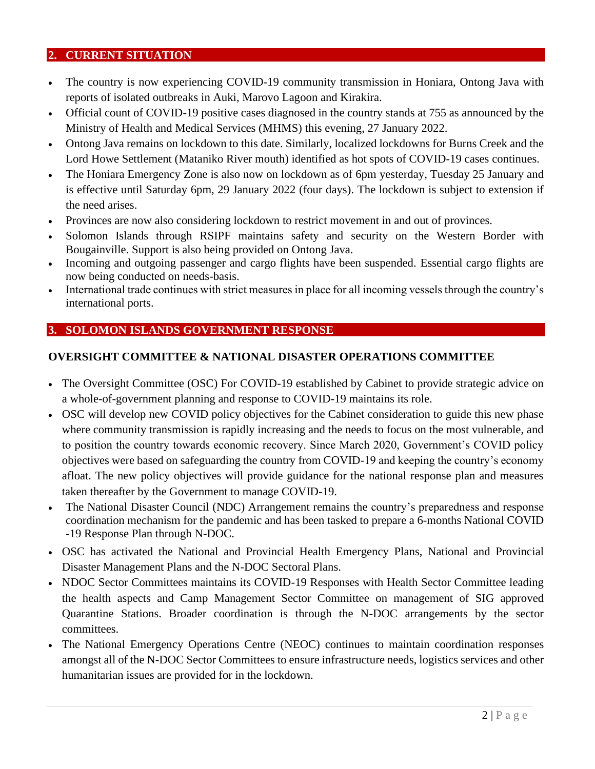#### <span id="page-1-0"></span>**2. CURRENT SITUATION**

- The country is now experiencing COVID-19 community transmission in Honiara, Ontong Java with reports of isolated outbreaks in Auki, Marovo Lagoon and Kirakira.
- Official count of COVID-19 positive cases diagnosed in the country stands at 755 as announced by the Ministry of Health and Medical Services (MHMS) this evening, 27 January 2022.
- Ontong Java remains on lockdown to this date. Similarly, localized lockdowns for Burns Creek and the Lord Howe Settlement (Mataniko River mouth) identified as hot spots of COVID-19 cases continues.
- The Honiara Emergency Zone is also now on lockdown as of 6pm yesterday, Tuesday 25 January and is effective until Saturday 6pm, 29 January 2022 (four days). The lockdown is subject to extension if the need arises.
- Provinces are now also considering lockdown to restrict movement in and out of provinces.
- Solomon Islands through RSIPF maintains safety and security on the Western Border with Bougainville. Support is also being provided on Ontong Java.
- Incoming and outgoing passenger and cargo flights have been suspended. Essential cargo flights are now being conducted on needs-basis.
- International trade continues with strict measures in place for all incoming vessels through the country's international ports.

## <span id="page-1-1"></span>**3. SOLOMON ISLANDS GOVERNMENT RESPONSE**

#### **OVERSIGHT COMMITTEE & NATIONAL DISASTER OPERATIONS COMMITTEE**

- The Oversight Committee (OSC) For COVID-19 established by Cabinet to provide strategic advice on a whole-of-government planning and response to COVID-19 maintains its role.
- OSC will develop new COVID policy objectives for the Cabinet consideration to guide this new phase where community transmission is rapidly increasing and the needs to focus on the most vulnerable, and to position the country towards economic recovery. Since March 2020, Government's COVID policy objectives were based on safeguarding the country from COVID-19 and keeping the country's economy afloat. The new policy objectives will provide guidance for the national response plan and measures taken thereafter by the Government to manage COVID-19.
- The National Disaster Council (NDC) Arrangement remains the country's preparedness and response coordination mechanism for the pandemic and has been tasked to prepare a 6-months National COVID -19 Response Plan through N-DOC.
- OSC has activated the National and Provincial Health Emergency Plans, National and Provincial Disaster Management Plans and the N-DOC Sectoral Plans.
- NDOC Sector Committees maintains its COVID-19 Responses with Health Sector Committee leading the health aspects and Camp Management Sector Committee on management of SIG approved Quarantine Stations. Broader coordination is through the N-DOC arrangements by the sector committees.
- The National Emergency Operations Centre (NEOC) continues to maintain coordination responses amongst all of the N-DOC Sector Committees to ensure infrastructure needs, logistics services and other humanitarian issues are provided for in the lockdown.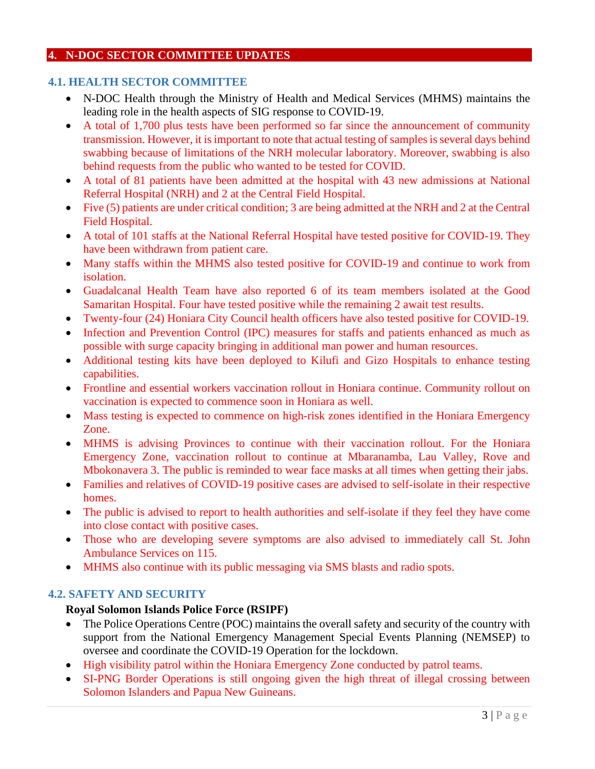#### <span id="page-2-0"></span>**4. N-DOC SECTOR COMMITTEE UPDATES**

#### **4.1. HEALTH SECTOR COMMITTEE**

- N-DOC Health through the Ministry of Health and Medical Services (MHMS) maintains the leading role in the health aspects of SIG response to COVID-19.
- A total of 1,700 plus tests have been performed so far since the announcement of community transmission. However, it is important to note that actual testing of samples is several days behind swabbing because of limitations of the NRH molecular laboratory. Moreover, swabbing is also behind requests from the public who wanted to be tested for COVID.
- A total of 81 patients have been admitted at the hospital with 43 new admissions at National Referral Hospital (NRH) and 2 at the Central Field Hospital.
- Five (5) patients are under critical condition; 3 are being admitted at the NRH and 2 at the Central Field Hospital.
- A total of 101 staffs at the National Referral Hospital have tested positive for COVID-19. They have been withdrawn from patient care.
- Many staffs within the MHMS also tested positive for COVID-19 and continue to work from isolation.
- Guadalcanal Health Team have also reported 6 of its team members isolated at the Good Samaritan Hospital. Four have tested positive while the remaining 2 await test results.
- Twenty-four (24) Honiara City Council health officers have also tested positive for COVID-19.
- Infection and Prevention Control (IPC) measures for staffs and patients enhanced as much as possible with surge capacity bringing in additional man power and human resources.
- Additional testing kits have been deployed to Kilufi and Gizo Hospitals to enhance testing capabilities.
- Frontline and essential workers vaccination rollout in Honiara continue. Community rollout on vaccination is expected to commence soon in Honiara as well.
- Mass testing is expected to commence on high-risk zones identified in the Honiara Emergency Zone.
- MHMS is advising Provinces to continue with their vaccination rollout. For the Honiara Emergency Zone, vaccination rollout to continue at Mbaranamba, Lau Valley, Rove and Mbokonavera 3. The public is reminded to wear face masks at all times when getting their jabs.
- Families and relatives of COVID-19 positive cases are advised to self-isolate in their respective homes.
- The public is advised to report to health authorities and self-isolate if they feel they have come into close contact with positive cases.
- Those who are developing severe symptoms are also advised to immediately call St. John Ambulance Services on 115.
- MHMS also continue with its public messaging via SMS blasts and radio spots.

#### **4.2. SAFETY AND SECURITY**

## **Royal Solomon Islands Police Force (RSIPF)**

- The Police Operations Centre (POC) maintains the overall safety and security of the country with support from the National Emergency Management Special Events Planning (NEMSEP) to oversee and coordinate the COVID-19 Operation for the lockdown.
- High visibility patrol within the Honiara Emergency Zone conducted by patrol teams.
- SI-PNG Border Operations is still ongoing given the high threat of illegal crossing between Solomon Islanders and Papua New Guineans.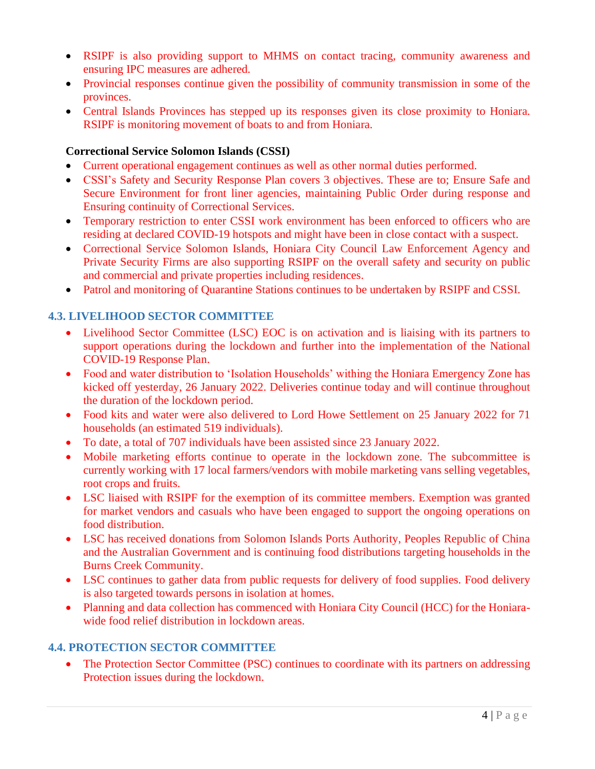- RSIPF is also providing support to MHMS on contact tracing, community awareness and ensuring IPC measures are adhered.
- Provincial responses continue given the possibility of community transmission in some of the provinces.
- Central Islands Provinces has stepped up its responses given its close proximity to Honiara. RSIPF is monitoring movement of boats to and from Honiara.

#### **Correctional Service Solomon Islands (CSSI)**

- Current operational engagement continues as well as other normal duties performed.
- CSSI's Safety and Security Response Plan covers 3 objectives. These are to; Ensure Safe and Secure Environment for front liner agencies, maintaining Public Order during response and Ensuring continuity of Correctional Services.
- Temporary restriction to enter CSSI work environment has been enforced to officers who are residing at declared COVID-19 hotspots and might have been in close contact with a suspect.
- Correctional Service Solomon Islands, Honiara City Council Law Enforcement Agency and Private Security Firms are also supporting RSIPF on the overall safety and security on public and commercial and private properties including residences.
- Patrol and monitoring of Quarantine Stations continues to be undertaken by RSIPF and CSSI.

## **4.3. LIVELIHOOD SECTOR COMMITTEE**

- Livelihood Sector Committee (LSC) EOC is on activation and is liaising with its partners to support operations during the lockdown and further into the implementation of the National COVID-19 Response Plan.
- Food and water distribution to 'Isolation Households' withing the Honiara Emergency Zone has kicked off yesterday, 26 January 2022. Deliveries continue today and will continue throughout the duration of the lockdown period.
- Food kits and water were also delivered to Lord Howe Settlement on 25 January 2022 for 71 households (an estimated 519 individuals).
- To date, a total of 707 individuals have been assisted since 23 January 2022.
- Mobile marketing efforts continue to operate in the lockdown zone. The subcommittee is currently working with 17 local farmers/vendors with mobile marketing vans selling vegetables, root crops and fruits.
- LSC liaised with RSIPF for the exemption of its committee members. Exemption was granted for market vendors and casuals who have been engaged to support the ongoing operations on food distribution.
- LSC has received donations from Solomon Islands Ports Authority, Peoples Republic of China and the Australian Government and is continuing food distributions targeting households in the Burns Creek Community.
- LSC continues to gather data from public requests for delivery of food supplies. Food delivery is also targeted towards persons in isolation at homes.
- Planning and data collection has commenced with Honiara City Council (HCC) for the Honiarawide food relief distribution in lockdown areas.

## **4.4. PROTECTION SECTOR COMMITTEE**

• The Protection Sector Committee (PSC) continues to coordinate with its partners on addressing Protection issues during the lockdown.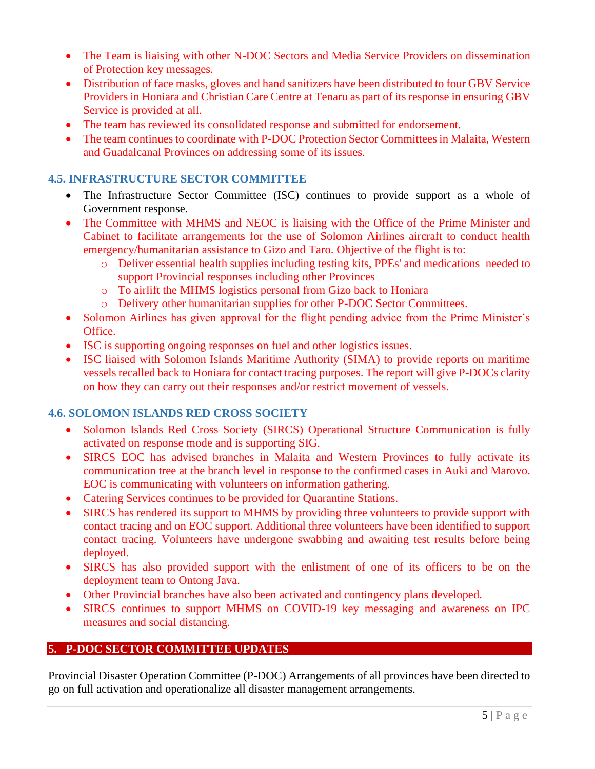- The Team is liaising with other N-DOC Sectors and Media Service Providers on dissemination of Protection key messages.
- Distribution of face masks, gloves and hand sanitizers have been distributed to four GBV Service Providers in Honiara and Christian Care Centre at Tenaru as part of its response in ensuring GBV Service is provided at all.
- The team has reviewed its consolidated response and submitted for endorsement.
- The team continues to coordinate with P-DOC Protection Sector Committees in Malaita, Western and Guadalcanal Provinces on addressing some of its issues.

## **4.5. INFRASTRUCTURE SECTOR COMMITTEE**

- The Infrastructure Sector Committee (ISC) continues to provide support as a whole of Government response.
- The Committee with MHMS and NEOC is liaising with the Office of the Prime Minister and Cabinet to facilitate arrangements for the use of Solomon Airlines aircraft to conduct health emergency/humanitarian assistance to Gizo and Taro. Objective of the flight is to:
	- o Deliver essential health supplies including testing kits, PPEs' and medications needed to support Provincial responses including other Provinces
	- o To airlift the MHMS logistics personal from Gizo back to Honiara
	- o Delivery other humanitarian supplies for other P-DOC Sector Committees.
- Solomon Airlines has given approval for the flight pending advice from the Prime Minister's Office.
- ISC is supporting ongoing responses on fuel and other logistics issues.
- ISC liaised with Solomon Islands Maritime Authority (SIMA) to provide reports on maritime vessels recalled back to Honiara for contact tracing purposes. The report will give P-DOCs clarity on how they can carry out their responses and/or restrict movement of vessels.

#### **4.6. SOLOMON ISLANDS RED CROSS SOCIETY**

- Solomon Islands Red Cross Society (SIRCS) Operational Structure Communication is fully activated on response mode and is supporting SIG.
- SIRCS EOC has advised branches in Malaita and Western Provinces to fully activate its communication tree at the branch level in response to the confirmed cases in Auki and Marovo. EOC is communicating with volunteers on information gathering.
- Catering Services continues to be provided for Quarantine Stations.
- SIRCS has rendered its support to MHMS by providing three volunteers to provide support with contact tracing and on EOC support. Additional three volunteers have been identified to support contact tracing. Volunteers have undergone swabbing and awaiting test results before being deployed.
- SIRCS has also provided support with the enlistment of one of its officers to be on the deployment team to Ontong Java.
- Other Provincial branches have also been activated and contingency plans developed.
- SIRCS continues to support MHMS on COVID-19 key messaging and awareness on IPC measures and social distancing.

## <span id="page-4-0"></span>**5. P-DOC SECTOR COMMITTEE UPDATES**

Provincial Disaster Operation Committee (P-DOC) Arrangements of all provinces have been directed to go on full activation and operationalize all disaster management arrangements.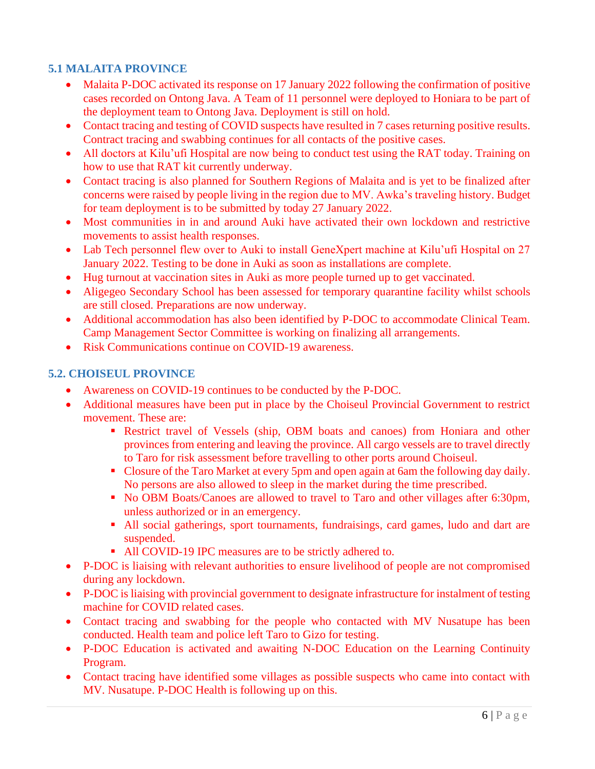## **5.1 MALAITA PROVINCE**

- Malaita P-DOC activated its response on 17 January 2022 following the confirmation of positive cases recorded on Ontong Java. A Team of 11 personnel were deployed to Honiara to be part of the deployment team to Ontong Java. Deployment is still on hold.
- Contact tracing and testing of COVID suspects have resulted in 7 cases returning positive results. Contract tracing and swabbing continues for all contacts of the positive cases.
- All doctors at Kilu'ufi Hospital are now being to conduct test using the RAT today. Training on how to use that RAT kit currently underway.
- Contact tracing is also planned for Southern Regions of Malaita and is yet to be finalized after concerns were raised by people living in the region due to MV. Awka's traveling history. Budget for team deployment is to be submitted by today 27 January 2022.
- Most communities in in and around Auki have activated their own lockdown and restrictive movements to assist health responses.
- Lab Tech personnel flew over to Auki to install GeneXpert machine at Kilu'ufi Hospital on 27 January 2022. Testing to be done in Auki as soon as installations are complete.
- Hug turnout at vaccination sites in Auki as more people turned up to get vaccinated.
- Aligegeo Secondary School has been assessed for temporary quarantine facility whilst schools are still closed. Preparations are now underway.
- Additional accommodation has also been identified by P-DOC to accommodate Clinical Team. Camp Management Sector Committee is working on finalizing all arrangements.
- Risk Communications continue on COVID-19 awareness.

#### **5.2. CHOISEUL PROVINCE**

- Awareness on COVID-19 continues to be conducted by the P-DOC.
- Additional measures have been put in place by the Choiseul Provincial Government to restrict movement. These are:
	- **Executed Executer 1 Restrict travel of Vessels (ship, OBM boats and canoes) from Honiara and other** provinces from entering and leaving the province. All cargo vessels are to travel directly to Taro for risk assessment before travelling to other ports around Choiseul.
	- Closure of the Taro Market at every 5pm and open again at 6am the following day daily. No persons are also allowed to sleep in the market during the time prescribed.
	- No OBM Boats/Canoes are allowed to travel to Taro and other villages after 6:30pm, unless authorized or in an emergency.
	- All social gatherings, sport tournaments, fundraisings, card games, ludo and dart are suspended.
	- All COVID-19 IPC measures are to be strictly adhered to.
- P-DOC is liaising with relevant authorities to ensure livelihood of people are not compromised during any lockdown.
- P-DOC is liaising with provincial government to designate infrastructure for instalment of testing machine for COVID related cases.
- Contact tracing and swabbing for the people who contacted with MV Nusatupe has been conducted. Health team and police left Taro to Gizo for testing.
- P-DOC Education is activated and awaiting N-DOC Education on the Learning Continuity Program.
- Contact tracing have identified some villages as possible suspects who came into contact with MV. Nusatupe. P-DOC Health is following up on this.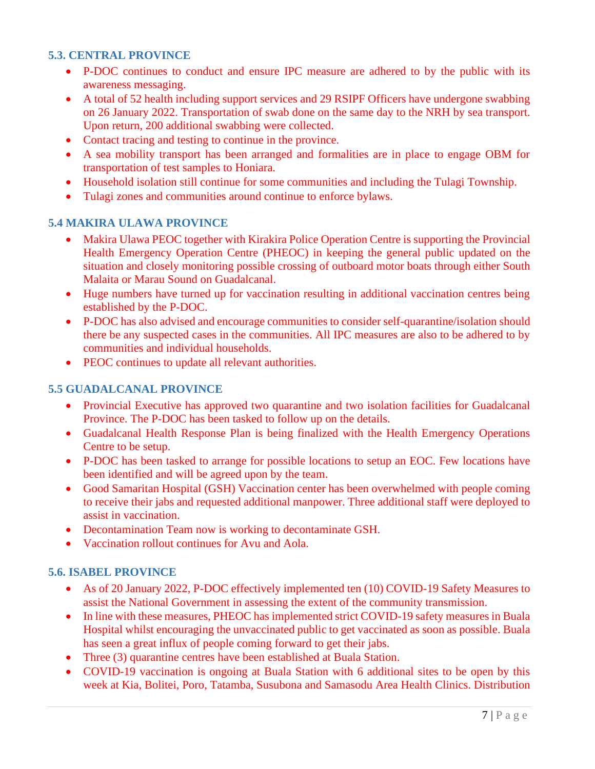#### **5.3. CENTRAL PROVINCE**

- P-DOC continues to conduct and ensure IPC measure are adhered to by the public with its awareness messaging.
- A total of 52 health including support services and 29 RSIPF Officers have undergone swabbing on 26 January 2022. Transportation of swab done on the same day to the NRH by sea transport. Upon return, 200 additional swabbing were collected.
- Contact tracing and testing to continue in the province.
- A sea mobility transport has been arranged and formalities are in place to engage OBM for transportation of test samples to Honiara.
- Household isolation still continue for some communities and including the Tulagi Township.
- Tulagi zones and communities around continue to enforce bylaws.

#### **5.4 MAKIRA ULAWA PROVINCE**

- Makira Ulawa PEOC together with Kirakira Police Operation Centre is supporting the Provincial Health Emergency Operation Centre (PHEOC) in keeping the general public updated on the situation and closely monitoring possible crossing of outboard motor boats through either South Malaita or Marau Sound on Guadalcanal.
- Huge numbers have turned up for vaccination resulting in additional vaccination centres being established by the P-DOC.
- P-DOC has also advised and encourage communities to consider self-quarantine/isolation should there be any suspected cases in the communities. All IPC measures are also to be adhered to by communities and individual households.
- PEOC continues to update all relevant authorities.

#### **5.5 GUADALCANAL PROVINCE**

- Provincial Executive has approved two quarantine and two isolation facilities for Guadalcanal Province. The P-DOC has been tasked to follow up on the details.
- Guadalcanal Health Response Plan is being finalized with the Health Emergency Operations Centre to be setup.
- P-DOC has been tasked to arrange for possible locations to setup an EOC. Few locations have been identified and will be agreed upon by the team.
- Good Samaritan Hospital (GSH) Vaccination center has been overwhelmed with people coming to receive their jabs and requested additional manpower. Three additional staff were deployed to assist in vaccination.
- Decontamination Team now is working to decontaminate GSH.
- Vaccination rollout continues for Avu and Aola.

#### **5.6. ISABEL PROVINCE**

- As of 20 January 2022, P-DOC effectively implemented ten (10) COVID-19 Safety Measures to assist the National Government in assessing the extent of the community transmission.
- In line with these measures, PHEOC has implemented strict COVID-19 safety measures in Buala Hospital whilst encouraging the unvaccinated public to get vaccinated as soon as possible. Buala has seen a great influx of people coming forward to get their jabs.
- Three (3) quarantine centres have been established at Buala Station.
- COVID-19 vaccination is ongoing at Buala Station with 6 additional sites to be open by this week at Kia, Bolitei, Poro, Tatamba, Susubona and Samasodu Area Health Clinics. Distribution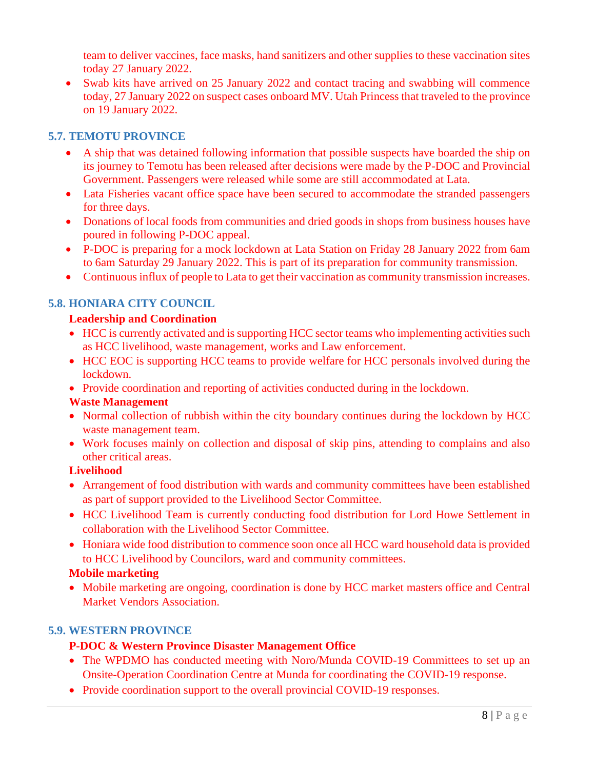team to deliver vaccines, face masks, hand sanitizers and other supplies to these vaccination sites today 27 January 2022.

• Swab kits have arrived on 25 January 2022 and contact tracing and swabbing will commence today, 27 January 2022 on suspect cases onboard MV. Utah Princess that traveled to the province on 19 January 2022.

## **5.7. TEMOTU PROVINCE**

- A ship that was detained following information that possible suspects have boarded the ship on its journey to Temotu has been released after decisions were made by the P-DOC and Provincial Government. Passengers were released while some are still accommodated at Lata.
- Lata Fisheries vacant office space have been secured to accommodate the stranded passengers for three days.
- Donations of local foods from communities and dried goods in shops from business houses have poured in following P-DOC appeal.
- P-DOC is preparing for a mock lockdown at Lata Station on Friday 28 January 2022 from 6am to 6am Saturday 29 January 2022. This is part of its preparation for community transmission.
- Continuous influx of people to Lata to get their vaccination as community transmission increases.

## **5.8. HONIARA CITY COUNCIL**

#### **Leadership and Coordination**

- HCC is currently activated and is supporting HCC sector teams who implementing activities such as HCC livelihood, waste management, works and Law enforcement.
- HCC EOC is supporting HCC teams to provide welfare for HCC personals involved during the lockdown.
- Provide coordination and reporting of activities conducted during in the lockdown.

#### **Waste Management**

- Normal collection of rubbish within the city boundary continues during the lockdown by HCC waste management team.
- Work focuses mainly on collection and disposal of skip pins, attending to complains and also other critical areas.

#### **Livelihood**

- Arrangement of food distribution with wards and community committees have been established as part of support provided to the Livelihood Sector Committee.
- HCC Livelihood Team is currently conducting food distribution for Lord Howe Settlement in collaboration with the Livelihood Sector Committee.
- Honiara wide food distribution to commence soon once all HCC ward household data is provided to HCC Livelihood by Councilors, ward and community committees.

## **Mobile marketing**

• Mobile marketing are ongoing, coordination is done by HCC market masters office and Central Market Vendors Association.

## **5.9. WESTERN PROVINCE**

## **P-DOC & Western Province Disaster Management Office**

- The WPDMO has conducted meeting with Noro/Munda COVID-19 Committees to set up an Onsite-Operation Coordination Centre at Munda for coordinating the COVID-19 response.
- Provide coordination support to the overall provincial COVID-19 responses.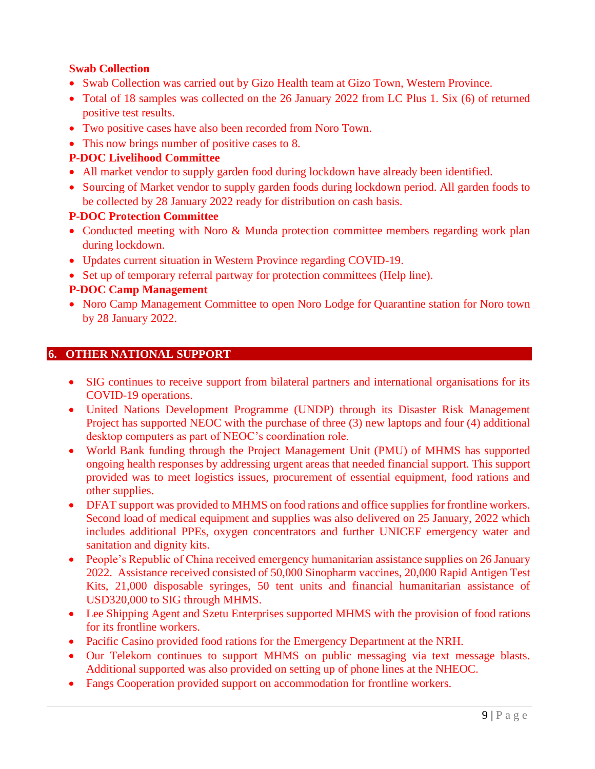## **Swab Collection**

- Swab Collection was carried out by Gizo Health team at Gizo Town, Western Province.
- Total of 18 samples was collected on the 26 January 2022 from LC Plus 1. Six (6) of returned positive test results.
- Two positive cases have also been recorded from Noro Town.
- This now brings number of positive cases to 8.

#### **P-DOC Livelihood Committee**

- All market vendor to supply garden food during lockdown have already been identified.
- Sourcing of Market vendor to supply garden foods during lockdown period. All garden foods to be collected by 28 January 2022 ready for distribution on cash basis.

#### **P-DOC Protection Committee**

- Conducted meeting with Noro & Munda protection committee members regarding work plan during lockdown.
- Updates current situation in Western Province regarding COVID-19.
- Set up of temporary referral partway for protection committees (Help line).

#### **P-DOC Camp Management**

• Noro Camp Management Committee to open Noro Lodge for Quarantine station for Noro town by 28 January 2022.

#### <span id="page-8-0"></span>**6. OTHER NATIONAL SUPPORT**

- SIG continues to receive support from bilateral partners and international organisations for its COVID-19 operations.
- United Nations Development Programme (UNDP) through its Disaster Risk Management Project has supported NEOC with the purchase of three (3) new laptops and four (4) additional desktop computers as part of NEOC's coordination role.
- World Bank funding through the Project Management Unit (PMU) of MHMS has supported ongoing health responses by addressing urgent areas that needed financial support. This support provided was to meet logistics issues, procurement of essential equipment, food rations and other supplies.
- DFAT support was provided to MHMS on food rations and office supplies for frontline workers. Second load of medical equipment and supplies was also delivered on 25 January, 2022 which includes additional PPEs, oxygen concentrators and further UNICEF emergency water and sanitation and dignity kits.
- People's Republic of China received emergency humanitarian assistance supplies on 26 January 2022. Assistance received consisted of 50,000 Sinopharm vaccines, 20,000 Rapid Antigen Test Kits, 21,000 disposable syringes, 50 tent units and financial humanitarian assistance of USD320,000 to SIG through MHMS.
- Lee Shipping Agent and Szetu Enterprises supported MHMS with the provision of food rations for its frontline workers.
- Pacific Casino provided food rations for the Emergency Department at the NRH.
- Our Telekom continues to support MHMS on public messaging via text message blasts. Additional supported was also provided on setting up of phone lines at the NHEOC.
- Fangs Cooperation provided support on accommodation for frontline workers.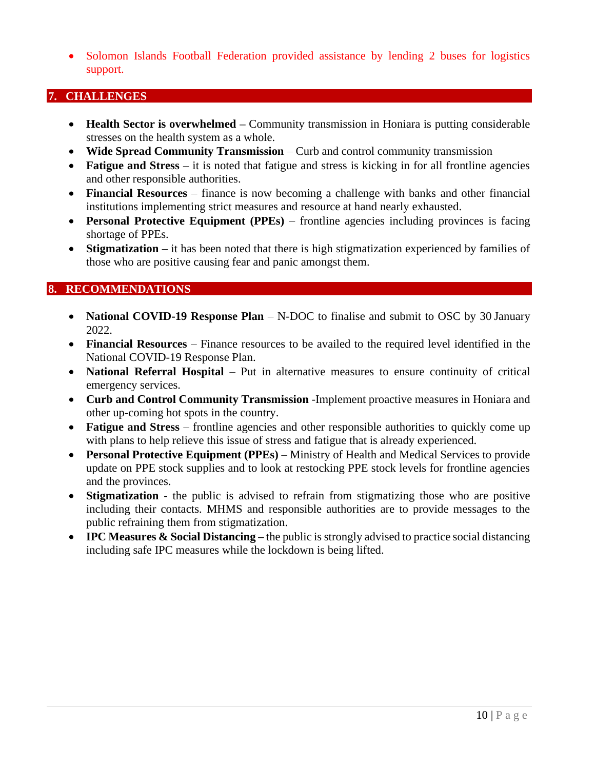• Solomon Islands Football Federation provided assistance by lending 2 buses for logistics support.

#### <span id="page-9-0"></span>**7. CHALLENGES**

- **Health Sector is overwhelmed** Community transmission in Honiara is putting considerable stresses on the health system as a whole.
- **Wide Spread Community Transmission**  Curb and control community transmission
- **Fatigue and Stress** it is noted that fatigue and stress is kicking in for all frontline agencies and other responsible authorities.
- **Financial Resources** finance is now becoming a challenge with banks and other financial institutions implementing strict measures and resource at hand nearly exhausted.
- **Personal Protective Equipment (PPEs)** frontline agencies including provinces is facing shortage of PPEs.
- **Stigmatization** it has been noted that there is high stigmatization experienced by families of those who are positive causing fear and panic amongst them.

#### <span id="page-9-1"></span>**8. RECOMMENDATIONS**

- **National COVID-19 Response Plan** N-DOC to finalise and submit to OSC by 30 January 2022.
- **Financial Resources** Finance resources to be availed to the required level identified in the National COVID-19 Response Plan.
- **National Referral Hospital** Put in alternative measures to ensure continuity of critical emergency services.
- **Curb and Control Community Transmission** -Implement proactive measures in Honiara and other up-coming hot spots in the country.
- **Fatigue and Stress** frontline agencies and other responsible authorities to quickly come up with plans to help relieve this issue of stress and fatigue that is already experienced.
- **Personal Protective Equipment (PPEs)** Ministry of Health and Medical Services to provide update on PPE stock supplies and to look at restocking PPE stock levels for frontline agencies and the provinces.
- **Stigmatization** the public is advised to refrain from stigmatizing those who are positive including their contacts. MHMS and responsible authorities are to provide messages to the public refraining them from stigmatization.
- **IPC Measures & Social Distancing** the public is strongly advised to practice social distancing including safe IPC measures while the lockdown is being lifted.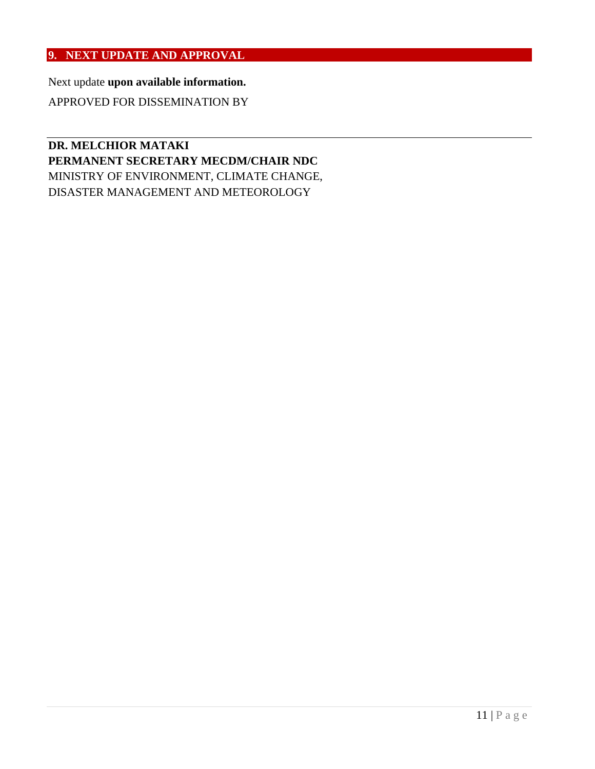## <span id="page-10-0"></span>**9. NEXT UPDATE AND APPROVAL**

Next update **upon available information.**

APPROVED FOR DISSEMINATION BY

## **DR. MELCHIOR MATAKI PERMANENT SECRETARY MECDM/CHAIR NDC** MINISTRY OF ENVIRONMENT, CLIMATE CHANGE, DISASTER MANAGEMENT AND METEOROLOGY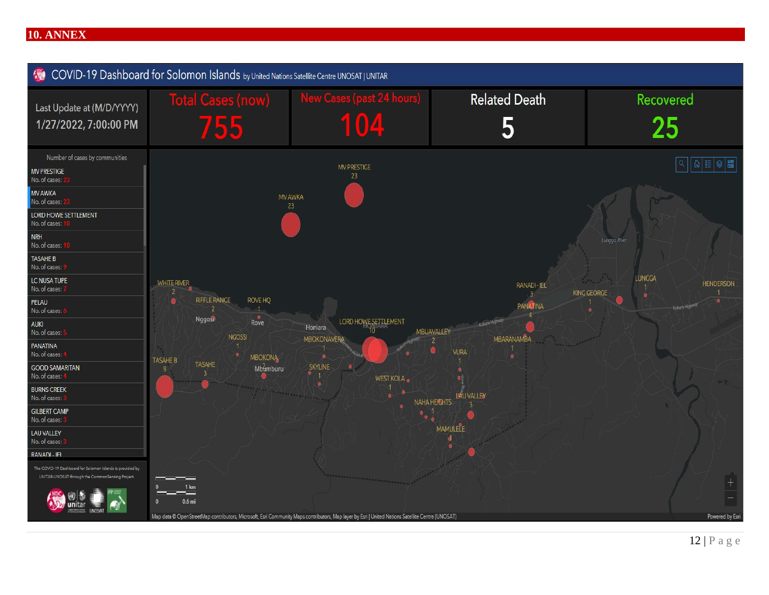#### **10. ANNEX**

<span id="page-11-0"></span>